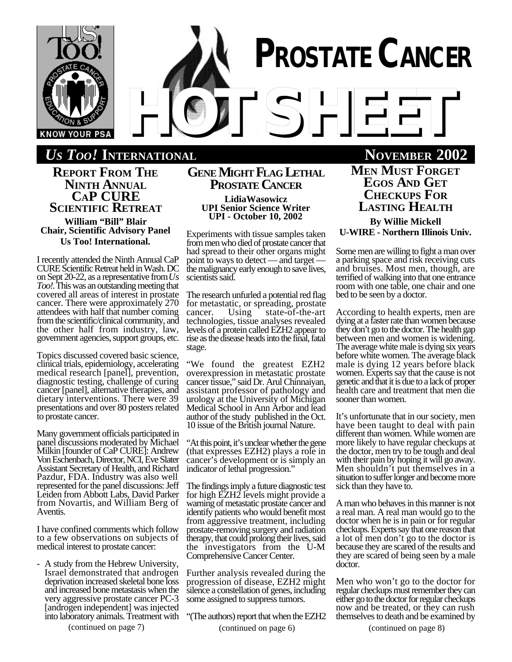

*US TOO!* **INTERNATIONAL NOVEMBER 2002**

**REPORT FROM THE NINTH ANNUAL CAP CURE SCIENTIFIC RETREAT**

**William "Bill" Blair Chair, Scientific Advisory Panel Us Too! International.**

I recently attended the Ninth Annual CaP CURE Scientific Retreat held in Wash. DC on Sept 20-22, as a representative from *Us Too!.* This was an outstanding meeting that covered all areas of interest in prostate cancer. There were approximately 270 attendees with half that number coming from the scientific/clinical community, and the other half from industry, law, government agencies, support groups, etc.

Topics discussed covered basic science, clinical trials, epidemiology, accelerating medical research [panel], prevention, diagnostic testing, challenge of curing cancer [panel], alternative therapies, and dietary interventions. There were 39 presentations and over 80 posters related to prostate cancer.

Many government officials participated in panel discussions moderated by Michael Milkin [founder of CaP CURE]: Andrew Von Eschenbach, Director, NCI, Eve Slater Assistant Secretary of Health, and Richard Pazdur, FDA. Industry was also well represented for the panel discussions: Jeff Leiden from Abbott Labs, David Parker from Novartis, and William Berg of Aventis.

I have confined comments which follow to a few observations on subjects of medical interest to prostate cancer:

A study from the Hebrew University, Israel demonstrated that androgen deprivation increased skeletal bone loss and increased bone metastasis when the very aggressive prostate cancer PC-3 [androgen independent] was injected into laboratory animals. Treatment with

(continued on page 7)

# **GENE MIGHT FLAG LETHAL PROSTATE CANCER**

**LidiaWasowicz UPI Senior Science Writer UPI - October 10, 2002**

Experiments with tissue samples taken from men who died of prostate cancer that had spread to their other organs might point to ways to detect — and target the malignancy early enough to save lives, scientists said.

The research unfurled a potential red flag for metastatic, or spreading, prostate cancer. Using state-of-the-art cancer. Using state-of-the-art technologies, tissue analyses revealed levels of a protein called EZH2 appear to rise as the disease heads into the final, fatal stage.

"We found the greatest EZH2 overexpression in metastatic prostate cancer tissue," said Dr. Arul Chinnaiyan, assistant professor of pathology and urology at the University of Michigan Medical School in Ann Arbor and lead author of the study published in the Oct. 10 issue of the British journal Nature.

"At this point, it's unclear whether the gene (that expresses EZH2) plays a role in cancer's development or is simply an indicator of lethal progression."

The findings imply a future diagnostic test for high EZH2 levels might provide a warning of metastatic prostate cancer and identify patients who would benefit most from aggressive treatment, including prostate-removing surgery and radiation therapy, that could prolong their lives, said the investigators from the U-M Comprehensive Cancer Center.

Further analysis revealed during the progression of disease, EZH2 might silence a constellation of genes, including some assigned to suppress tumors.

"(The authors) report that when the EZH2 (continued on page 6)

**MEN MUST FORGET EGOS AND GET CHECKUPS FOR LASTING HEALTH**

**By Willie Mickell U-WIRE - Northern Illinois Univ.**

Some men are willing to fight a man over a parking space and risk receiving cuts and bruises. Most men, though, are terrified of walking into that one entrance room with one table, one chair and one bed to be seen by a doctor.

According to health experts, men are dying at a faster rate than women because they don't go to the doctor. The health gap between men and women is widening. The average white male is dying six years before white women. The average black male is dying 12 years before black women. Experts say that the cause is not genetic and that it is due to a lack of proper health care and treatment that men die sooner than women.

It's unfortunate that in our society, men have been taught to deal with pain different than women. While women are more likely to have regular checkups at the doctor, men try to be tough and deal with their pain by hoping it will go away. Men shouldn't put themselves in a situation to suffer longer and become more sick than they have to.

A man who behaves in this manner is not a real man. A real man would go to the doctor when he is in pain or for regular checkups. Experts say that one reason that a lot of men don't go to the doctor is because they are scared of the results and they are scared of being seen by a male doctor.

Men who won't go to the doctor for regular checkups must remember they can either go to the doctor for regular checkups now and be treated, or they can rush themselves to death and be examined by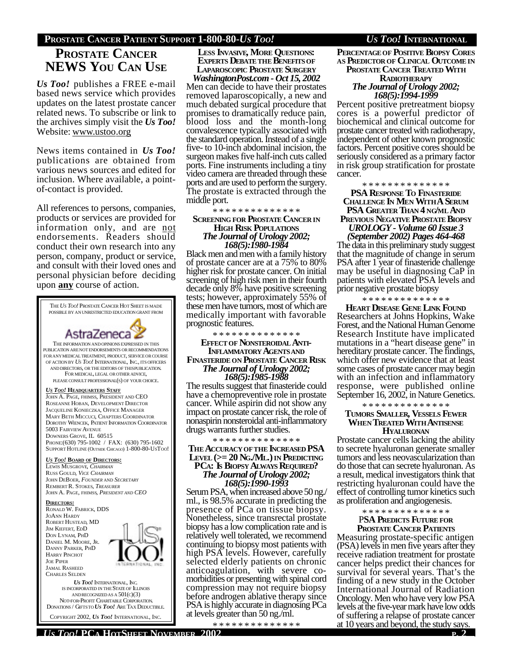### **PROSTATE CANCER PATIENT SUPPORT 1-800-80-***US TOO! US TOO!* **INTERNATIONAL**

# **PROSTATE CANCER NEWS YOU CAN USE**

*Us Too!* publishes a FREE e-mail based news service which provides updates on the latest prostate cancer related news. To subscribe or link to the archives simply visit the *Us Too!* Website: www.ustoo.org

News items contained in *Us Too!* publications are obtained from various news sources and edited for inclusion. Where available, a pointof-contact is provided.

All references to persons, companies, products or services are provided for information only, and are not endorsements. Readers should conduct their own research into any person, company, product or service, and consult with their loved ones and personal physician before deciding upon **any** course of action.



**LESS INVASIVE, MORE QUESTIONS: EXPERTS DEBATETHE BENEFITSOF LAPAROSCOPIC PROSTATE SURGERY**

*WashingtonPost.com - Oct 15, 2002* Men can decide to have their prostates removed laparoscopically, a new and much debated surgical procedure that promises to dramatically reduce pain, blood loss and the month-long convalescence typically associated with the standard operation. Instead of a single five- to 10-inch abdominal incision, the surgeon makes five half-inch cuts called ports. Fine instruments including a tiny video camera are threaded through these ports and are used to perform the surgery. The prostate is extracted through the middle port.

\* \* \* \* \* \* \* \* \* \* \* \* \* **SCREENING FOR PROSTATE CANCER IN HIGH RISK POPULATIONS** *The Journal of Urology 2002; 168(5):1980-1984*

Black men and men with a family history of prostate cancer are at a 75% to 80% higher risk for prostate cancer. On initial screening of high risk men in their fourth decade only 8% have positive screening tests; however, approximately 55% of these men have tumors, most of which are medically important with favorable prognostic features.

\* \* \* \* \* \* \* \* \* \* \* \* \* \*

#### **EFFECTOF NONSTEROIDAL ANTI-INFLAMMATORY AGENTSAND FINASTERIDE ON PROSTATE CANCER RISK** *The Journal of Urology 2002; 168(5):1985-1988*

The results suggest that finasteride could have a chemopreventive role in prostate cancer. While aspirin did not show any impact on prostate cancer risk, the role of nonaspirin nonsteroidal anti-inflammatory drugs warrants further studies.

#### \* \* \* \* \* \* \* \* \* \* \* \* \* \* **THE ACCURACYOFTHE INCREASED PSA LEVEL (>= 20 NG./ML.) IN PREDICTING PCA: IS BIOPSY ALWAYS REQUIRED?** *The Journal of Urology 2002; 168(5):1990-1993*

Serum PSA, when increased above 50 ng./ ml., is 98.5% accurate in predicting the presence of PCa on tissue biopsy. Nonetheless, since transrectal prostate biopsy has a low complication rate and is relatively well tolerated, we recommend continuing to biopsy most patients with high PSA levels. However, carefully selected elderly patients on chronic anticoagulation, with severe comorbidities or presenting with spinal cord compression may not require biopsy before androgen ablative therapy since PSA is highly accurate in diagnosing PCa at levels greater than 50 ng./ml.

\* \* \* \* \* \* \* \* \* \* \* \* \* \*

**PERCENTAGEOF POSITIVE BIOPSY CORES AS PREDICTOROF CLINICAL OUTCOME IN PROSTATE CANCER TREATED WITH RADIOTHERAPY** *The Journal of Urology 2002;*

*168(5):1994-1999* Percent positive pretreatment biopsy cores is a powerful predictor of biochemical and clinical outcome for prostate cancer treated with radiotherapy, independent of other known prognostic factors. Percent positive cores should be seriously considered as a primary factor in risk group stratification for prostate cancer.

\* \* \* \* \* \* \* \* \* \* \* \* \* \*

**PSA RESPONSE TO FINASTERIDE CHALLENGE IN MEN WITH A SERUM PSA GREATER THAN 4 NG/ML AND PREVIOUS NEGATIVE PROSTATE BIOPSY**

*UROLOGY - Volume 60 Issue 3 (September 2002) Pages 464-468*

The data in this preliminary study suggest that the magnitude of change in serum PSA after 1 year of finasteride challenge may be useful in diagnosing CaP in patients with elevated PSA levels and prior negative prostate biopsy

\* \* \* \* \* \* \* \* \* \* \* \* \* \*

**HEART DISEASE GENE LINK FOUND** Researchers at Johns Hopkins, Wake Forest, and the National Human Genome Research Institute have implicated mutations in a "heart disease gene" in hereditary prostate cancer. The findings, which offer new evidence that at least some cases of prostate cancer may begin with an infection and inflammatory response, were published online September 16, 2002, in Nature Genetics.

#### \* \* \* \* \* \* \* \* \* \* \* \* \* \* **TUMORS SMALLER, VESSELS FEWER WHEN TREATED WITH ANTISENSE HYALURONAN**

Prostate cancer cells lacking the ability to secrete hyaluronan generate smaller tumors and less neovascularization than do those that can secrete hyaluronan. As a result, medical investigators think that restricting hyaluronan could have the effect of controlling tumor kinetics such as proliferation and angiogenesis.

\* \* \* \* \* \* \* \* \* \* \* \* \* \*

P**SA PREDICTS FUTURE FOR PROSTATE CANCER PATIENTS**

Measuring prostate-specific antigen (PSA) levels in men five years after they receive radiation treatment for prostate cancer helps predict their chances for survival for several years. That's the finding of a new study in the October International Journal of Radiation Oncology. Men who have very low PSA levels at the five-year mark have low odds of suffering a relapse of prostate cancer at 10 years and beyond, the study says.

COPYRIGHT 2002, *US TOO!* INTERNATIONAL, INC.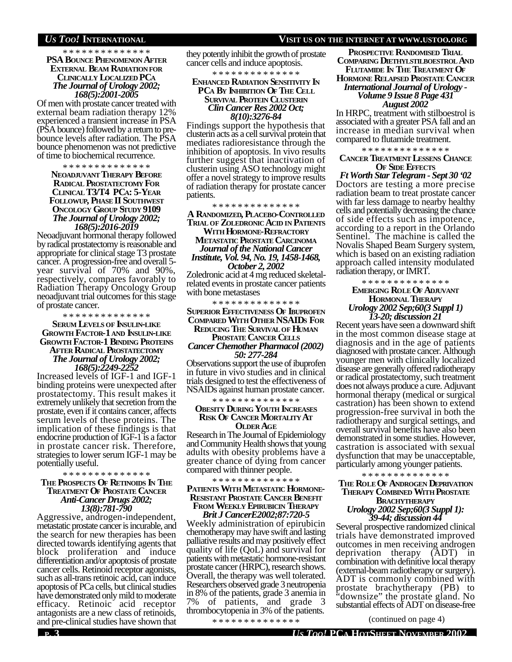#### *US TOO!* **INTERNATIONAL VISIT US ON THE INTERNET AT WWW.USTOO.ORG**

#### \* \* \* \* \* \* \* \* \* \* \* \* \* \* **PSA BOUNCE PHENOMENON AFTER EXTERNAL BEAM RADIATION FOR CLINICALLY LOCALIZED PCA** *The Journal of Urology 2002; 168(5):2001-2005*

Of men with prostate cancer treated with external beam radiation therapy 12% experienced a transient increase in PSA (PSA bounce) followed by a return to prebounce levels after radiation. The PSA bounce phenomenon was not predictive of time to biochemical recurrence.

\* \* \* \* \* \* \* \* \* \* \* \* \* \*

#### **NEOADJUVANT THERAPY BEFORE RADICAL PROSTATECTOMY FOR CLINICAL T3/T4 PCA: 5-YEAR FOLLOWUP, PHASE II SOUTHWEST ONCOLOGY GROUP STUDY 9109** *The Journal of Urology 2002; 168(5):2016-2019*

Neoadjuvant hormonal therapy followed by radical prostatectomy is reasonable and appropriate for clinical stage T3 prostate cancer. A progression-free and overall 5 year survival of 70% and 90%, respectively, compares favorably to Radiation Therapy Oncology Group neoadjuvant trial outcomes for this stage of prostate cancer.

#### \* \* \* \* \* \* \* \* \* \* \* \* \* \* **SERUM LEVELS OF INSULIN-LIKE GROWTH FACTOR-1 AND INSULIN-LIKE GROWTH FACTOR-1 BINDING PROTEINS AFTER RADICAL PROSTATECTOMY** *The Journal of Urology 2002; 168(5):2249-2252*

Increased levels of IGF-1 and IGF-1 binding proteins were unexpected after prostatectomy. This result makes it extremely unlikely that secretion from the prostate, even if it contains cancer, affects serum levels of these proteins. The implication of these findings is that endocrine production of IGF-1 is a factor in prostate cancer risk. Therefore, strategies to lower serum IGF-1 may be potentially useful.

\* \* \* \* \* \* \* \* \* \* \* \* \* \*

#### **THE PROSPECTS OF RETINOIDS IN THE TREATMENT OF PROSTATE CANCER** *Anti-Cancer Drugs 2002; 13(8):781-790*

Aggressive, androgen-independent, metastatic prostate cancer is incurable, and the search for new therapies has been directed towards identifying agents that block proliferation and induce differentiation and/or apoptosis of prostate cancer cells. Retinoid receptor agonists, such as all-trans retinoic acid, can induce apoptosis of PCa cells, but clinical studies have demonstrated only mild to moderate efficacy. Retinoic acid receptor antagonists are a new class of retinoids, and pre-clinical studies have shown that

they potently inhibit the growth of prostate cancer cells and induce apoptosis.

\* \* \* \* \* \* \* \* \* \* \* \* \* \*

#### **ENHANCED RADIATION SENSITIVITY IN PCA BY INHIBITION OF THE CELL SURVIVAL PROTEIN CLUSTERIN** *Clin Cancer Res 2002 Oct; 8(10):3276-84*

Findings support the hypothesis that clusterin acts as a cell survival protein that mediates radioresistance through the inhibition of apoptosis. In vivo results further suggest that inactivation of clusterin using ASO technology might offer a novel strategy to improve results of radiation therapy for prostate cancer patients.

\* \* \* \* \* \* \* \* \* \* \* \* \* \* **A RANDOMIZED, PLACEBO-CONTROLLED TRIAL OF ZOLEDRONIC ACID IN PATIENTS WITH HORMONE-REFRACTORY**

#### **METASTATIC PROSTATE CARCINOMA** *Journal of the National Cancer Institute, Vol. 94, No. 19, 1458-1468, October 2, 2002*

Zoledronic acid at 4 mg reduced skeletalrelated events in prostate cancer patients with bone metastases

\* \* \* \* \* \* \* \* \* \* \* \* \* \*

#### **SUPERIOR EFFECTIVENESS OF IBUPROFEN COMPARED WITH OTHER NSAIDS FOR REDUCING THE SURVIVALOF HUMAN**

#### **PROSTATE CANCER CELLS** *Cancer Chemother Pharmacol (2002) 50: 277-284*

Observations support the use of ibuprofen in future in vivo studies and in clinical trials designed to test the effectiveness of NSAIDs against human prostate cancer.

\* \* \* \* \* \* \* \* \* \* \* \* \* \*

#### **OBESITY DURING YOUTH INCREASES RISK OF CANCER MORTALITY AT OLDER AGE**

Research in The Journal of Epidemiology and Community Health shows that young adults with obesity problems have a greater chance of dying from cancer compared with thinner people.

#### \* \* \* \* \* \* \* \* \* \* \* \* \* \*

#### **PATIENTS WITH METASTATIC HORMONE-RESISTANT PROSTATE CANCER BENEFIT FROM WEEKLY EPIRUBICIN THERAPY** *Brit J CancerE2002;87:720-5*

Weekly administration of epirubicin chemotherapy may have swift and lasting palliative results and may positively effect quality of life (QoL) and survival for patients with metastatic hormone-resistant prostate cancer (HRPC), research shows. Overall, the therapy was well tolerated. Researchers observed grade 3 neutropenia in 8% of the patients, grade 3 anemia in 7% of patients, and grade 3 thrombocytopenia in 3% of the patients.

\* \* \* \* \* \* \* \* \* \* \* \* \* \*

**PROSPECTIVE RANDOMISED TRIAL COMPARING DIETHYLSTILBOESTROL AND FLUTAMIDE IN THE TREATMENT OF HORMONE RELAPSED PROSTATE CANCER** *International Journal of Urology - Volume 9 Issue 8 Page 431 August 2002*

In HRPC, treatment with stilboestrol is associated with a greater PSA fall and an increase in median survival when compared to flutamide treatment.

\* \* \* \* \* \* \* \* \* \* \* \* \* \*

#### **CANCER TREATMENT LESSENS CHANCE OF SIDE EFFECTS**

*Ft Worth Star Telegram - Sept 30 '02* Doctors are testing a more precise radiation beam to treat prostate cancer with far less damage to nearby healthy cells and potentially decreasing the chance of side effects such as impotence, according to a report in the Orlando Sentinel. The machine is called the Novalis Shaped Beam Surgery system, which is based on an existing radiation approach called intensity modulated radiation therapy, or IMRT.

#### \* \* \* \* \* \* \* \* \* \* \* \* \* \* **EMERGING ROLE OF ADJUVANT HORMONAL THERAPY** *Urology 2002 Sep;60(3 Suppl 1) 13-20; discussion 21*

Recent years have seen a downward shift in the most common disease stage at diagnosis and in the age of patients diagnosed with prostate cancer. Although younger men with clinically localized disease are generally offered radiotherapy or radical prostatectomy, such treatment does not always produce a cure. Adjuvant hormonal therapy (medical or surgical castration) has been shown to extend progression-free survival in both the radiotherapy and surgical settings, and overall survival benefits have also been demonstrated in some studies. However, castration is associated with sexual dysfunction that may be unacceptable, particularly among younger patients.

#### \* \* \* \* \* \* \* \* \* \* \* \* \* \*

#### **THE ROLE OF ANDROGEN DEPRIVATION THERAPY COMBINED WITH PROSTATE BRACHYTHERAPY**

#### *Urology 2002 Sep;60(3 Suppl 1): 39-44; discussion 44*

Several prospective randomized clinical trials have demonstrated improved outcomes in men receiving androgen deprivation therapy (ADT) in combination with definitive local therapy (external-beam radiotherapy or surgery). ADT is commonly combined with prostate brachytherapy (PB) to 'downsize" the prostate gland. No substantial effects of ADT on disease-free

(continued on page 4)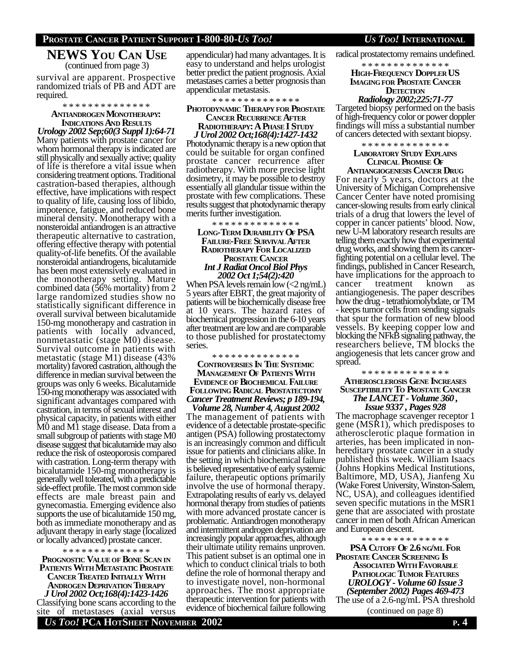#### **PROSTATE CANCER PATIENT SUPPORT 1-800-80-***US TOO! US TOO!* **INTERNATIONAL**

### **NEWS YOU CAN USE** (continued from page 3)

survival are apparent. Prospective randomized trials of PB and ADT are required.

#### \* \* \* \* \* \* \* \* \* \* \* \* \* \* **ANTIANDROGEN MONOTHERAPY: INDICATIONS AND RESULTS**

*Urology 2002 Sep;60(3 Suppl 1):64-71* Many patients with prostate cancer for whom hormonal therapy is indicated are still physically and sexually active; quality of life is therefore a vital issue when considering treatment options. Traditional castration-based therapies, although effective, have implications with respect to quality of life, causing loss of libido, impotence, fatigue, and reduced bone mineral density. Monotherapy with a nonsteroidal antiandrogen is an attractive therapeutic alternative to castration, offering effective therapy with potential quality-of-life benefits. Of the available nonsteroidal antiandrogens, bicalutamide has been most extensively evaluated in the monotherapy setting. Mature combined data (56% mortality) from 2 large randomized studies show no statistically significant difference in overall survival between bicalutamide 150-mg monotherapy and castration in patients with locally advanced, nonmetastatic (stage M0) disease. Survival outcome in patients with metastatic (stage M1) disease (43% mortality) favored castration, although the difference in median survival between the groups was only 6 weeks. Bicalutamide 150-mg monotherapy was associated with significant advantages compared with castration, in terms of sexual interest and physical capacity, in patients with either M0 and M1 stage disease. Data from a small subgroup of patients with stage M0 disease suggest that bicalutamide may also reduce the risk of osteoporosis compared with castration. Long-term therapy with bicalutamide 150-mg monotherapy is generally well tolerated, with a predictable side-effect profile. The most common side effects are male breast pain and gynecomastia. Emerging evidence also supports the use of bicalutamide 150 mg, both as immediate monotherapy and as adjuvant therapy in early stage (localized or locally advanced) prostate cancer.

### \* \* \* \* \* \* \* \* \* \* \* \* \* \*

**PROGNOSTIC VALUE OF BONE SCAN IN PATIENTS WITH METASTATIC PROSTATE CANCER TREATED INITIALLY WITH ANDROGEN DEPRIVATION THERAPY** *J Urol 2002 Oct;168(4):1423-1426* Classifying bone scans according to the site of metastases (axial versus

appendicular) had many advantages. It is easy to understand and helps urologist better predict the patient prognosis. Axial metastases carries a better prognosis than appendicular metastasis.

#### \* \* \* \* \* \* \* \* \* \* \* \* \* \*

#### **PHOTODYNAMIC THERAPY FOR PROSTATE CANCER RECURRENCE AFTER RADIOTHERAPY: A PHASE I STUDY**

*J Urol 2002 Oct;168(4):1427-1432* Photodynamic therapy is a new option that

could be suitable for organ confined prostate cancer recurrence after radiotherapy. With more precise light dosimetry, it may be possible to destroy essentially all glandular tissue within the prostate with few complications. These results suggest that photodynamic therapy merits further investigation.

\* \* \* \* \* \* \* \* \* \* \* \* \* \*

#### **LONG-TERM DURABILITY OF PSA FAILURE-FREE SURVIVAL AFTER RADIOTHERAPY FOR LOCALIZED PROSTATE CANCER** *Int J Radiat Oncol Biol Phys 2002 Oct 1;54(2):420*

When PSA levels remain low  $\langle 2 \text{ ng/mL} \rangle$ 5 years after EBRT, the great majority of patients will be biochemically disease free at 10 years. The hazard rates of biochemical progression in the 6-10 years after treatment are low and are comparable to those published for prostatectomy series.

\* \* \* \* \* \* \* \* \* \* \* \* \* \*

#### **CONTROVERSIES IN THE SYSTEMIC MANAGEMENT OF PATIENTS WITH EVIDENCEOF BIOCHEMICAL FAILURE FOLLOWING RADICAL PROSTATECTOMY** *Cancer Treatment Reviews; p 189-194,*

*Volume 28, Number 4, August 2002* The management of patients with evidence of a detectable prostate-specific antigen (PSA) following prostatectomy is an increasingly common and difficult issue for patients and clinicians alike. In the setting in which biochemical failure is believed representative of early systemic failure, therapeutic options primarily involve the use of hormonal therapy. Extrapolating results of early vs. delayed hormonal therapy from studies of patients with more advanced prostate cancer is problematic. Antiandrogen monotherapy and intermittent androgen deprivation are increasingly popular approaches, although their ultimate utility remains unproven. This patient subset is an optimal one in which to conduct clinical trials to both define the role of hormonal therapy and to investigate novel, non-hormonal approaches. The most appropriate therapeutic intervention for patients with evidence of biochemical failure following

radical prostatectomy remains undefined.

\* \* \* \* \* \* \* \* \* \* \* \* \* \* **HIGH-FREQUENCY DOPPLER US IMAGING FOR PROSTATE CANCER DETECTION**

#### *Radiology 2002;225:71-77*

Targeted biopsy performed on the basis of high-frequency color or power doppler findings will miss a substantial number of cancers detected with sextant biopsy.

#### \* \* \* \* \* \* \* \* \* \* \* \* \* \* **LABORATORY STUDY EXPLAINS CLINICAL PROMISE OF**

**ANTIANGIOGENESIS CANCER DRUG** For nearly 5 years, doctors at the University of Michigan Comprehensive Cancer Center have noted promising cancer-slowing results from early clinical trials of a drug that lowers the level of copper in cancer patients' blood. Now, new U-M laboratory research results are telling them exactly how that experimental drug works, and showing them its cancerfighting potential on a cellular level. The findings, published in Cancer Research, have implications for the approach to cancer treatment known as antiangiogenesis. The paper describes how the drug - tetrathiomolybdate, or TM - keeps tumor cells from sending signals that spur the formation of new blood vessels. By keeping copper low and blocking the NFkB signaling pathway, the researchers believe, TM blocks the angiogenesis that lets cancer grow and spread.

#### \* \* \* \* \* \* \* \* \* \* \* \* \* \* **ATHEROSCLEROSIS GENE INCREASES SUSCEPTIBILITY TO PROSTATE CANCER** *The LANCET - Volume 360 , Issue 9337 , Pages 928*

The macrophage scavenger receptor 1 gene (MSR1), which predisposes to atherosclerotic plaque formation in arteries, has been implicated in nonhereditary prostate cancer in a study published this week. William Isaacs (Johns Hopkins Medical Institutions, Baltimore, MD, USA), Jianfeng Xu (Wake Forest University, Winston-Salem, NC, USA), and colleagues identified seven specific mutations in the MSR1 gene that are associated with prostate cancer in men of both African American and European descent.

\* \* \* \* \* \* \* \* \* \* \* \* \* \*

**PSA CUTOFF OF 2.6 NG/ML FOR PROSTATE CANCER SCREENING IS ASSOCIATED WITH FAVORABLE PATHOLOGIC TUMOR FEATURES** *UROLOGY - Volume 60 Issue 3 (September 2002) Pages 469-473* The use of a 2.6-ng/mL PSA threshold (continued on page 8)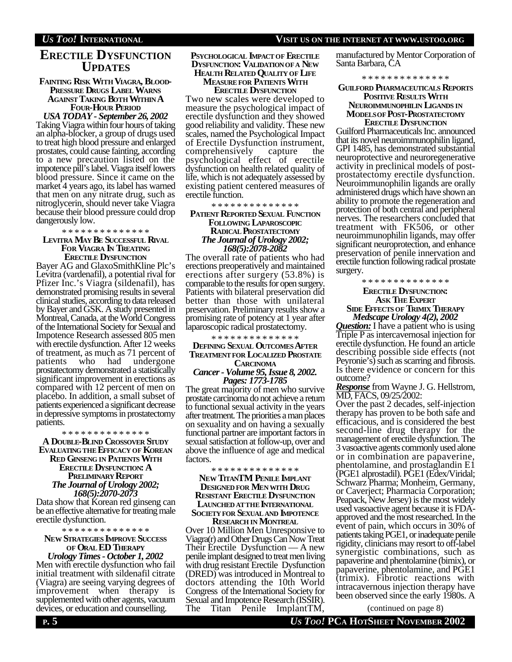# **ERECTILE DYSFUNCTION UPDATES**

#### **FAINTING RISK WITH VIAGRA, BLOOD-PRESSURE DRUGS LABEL WARNS AGAINST TAKING BOTH WITHIN A FOUR-HOUR PERIOD**

*USA TODAY - September 26, 2002* Taking Viagra within four hours of taking an alpha-blocker, a group of drugs used to treat high blood pressure and enlarged prostates, could cause fainting, according to a new precaution listed on the impotence pill's label. Viagra itself lowers blood pressure. Since it came on the market 4 years ago, its label has warned that men on any nitrate drug, such as nitroglycerin, should never take Viagra because their blood pressure could drop dangerously low.

#### \* \* \* \* \* \* \* \* \* \* \* \* \* \* **LEVITRA MAY BE SUCCESSFUL RIVAL FOR VIAGRA IN TREATING**

**ERECTILE DYSFUNCTION** Bayer AG and GlaxoSmithKline Plc's Levitra (vardenafil), a potential rival for Pfizer Inc.'s Viagra (sildenafil), has demonstrated promising results in several clinical studies, according to data released by Bayer and GSK. A study presented in Montreal, Canada, at the World Congress of the International Society for Sexual and Impotence Research assessed 805 men with erectile dysfunction. After 12 weeks of treatment, as much as 71 percent of patients who had undergone patients who had undergone prostatectomy demonstrated a statistically significant improvement in erections as compared with 12 percent of men on placebo. In addition, a small subset of patients experienced a significant decrease in depressive symptoms in prostatectomy patients.

\* \* \* \* \* \* \* \* \* \* \* \* \* \* **A DOUBLE-BLIND CROSSOVER STUDY EVALUATINGTHE EFFICACY OF KOREAN RED GINSENG IN PATIENTS WITH ERECTILE DYSFUNCTION: A PRELIMINARY REPORT** *The Journal of Urology 2002; 168(5):2070-2073*

Data show that Korean red ginseng can be an effective alternative for treating male erectile dysfunction.

\* \* \* \* \* \* \* \* \* \* \* \* \* \*

### **NEW STRATEGIES IMPROVE SUCCESS OF ORAL ED THERAPY**

*Urology Times - October 1, 2002* Men with erectile dysfunction who fail initial treatment with sildenafil citrate (Viagra) are seeing varying degrees of improvement when therapy is supplemented with other agents, vacuum devices, or education and counselling.

#### **PSYCHOLOGICAL IMPACT OF ERECTILE DYSFUNCTION: VALIDATIONOFA NEW HEALTH RELATED QUALITY OF LIFE**

#### **MEASURE FOR PATIENTS WITH ERECTILE DYSFUNCTION**

Two new scales were developed to measure the psychological impact of erectile dysfunction and they showed good reliability and validity. These new scales, named the Psychological Impact of Erectile Dysfunction instrument, comprehensively capture the psychological effect of erectile dysfunction on health related quality of life, which is not adequately assessed by existing patient centered measures of erectile function.

\* \* \* \* \* \* \* \* \* \* \* \* \* \*

#### **PATIENT REPORTED SEXUAL FUNCTION FOLLOWING LAPAROSCOPIC RADICAL PROSTATECTOMY** *The Journal of Urology 2002; 168(5):2078-2082*

The overall rate of patients who had erections preoperatively and maintained erections after surgery (53.8%) is comparable to the results for open surgery. Patients with bilateral preservation did better than those with unilateral preservation. Preliminary results show a promising rate of potency at 1 year after laparoscopic radical prostatectomy.

\* \* \* \* \* \* \* \* \* \* \* \* \* \*

#### **DEFINING SEXUAL OUTCOMES AFTER TREATMENTFOR LOCALIZED PROSTATE**

#### **CARCINOMA** *Cancer - Volume 95, Issue 8, 2002. Pages: 1773-1785*

The great majority of men who survive prostate carcinoma do not achieve a return to functional sexual activity in the years after treatment. The priorities a man places on sexuality and on having a sexually functional partner are important factors in sexual satisfaction at follow-up, over and above the influence of age and medical factors.

\* \* \* \* \* \* \* \* \* \* \* \* \* \*

#### **NEW TITANTM PENILE IMPLANT DESIGNED FOR MENWITH DRUG RESISTANT ERECTILE DYSFUNCTION LAUNCHED ATTHE INTERNATIONAL SOCIETYFOR SEXUAL AND IMPOTENCE**

**RESEARCH IN MONTREAL** Over 10 Million Men Unresponsive to Viagra(r) and Other Drugs Can Now Treat Their Erectile Dysfunction — A new penile implant designed to treat men living with drug resistant Erectile Dysfunction (DRED) was introduced in Montreal to doctors attending the 10th World Congress of the International Society for Sexual and Impotence Research (ISSIR). The Titan Penile ImplantTM,

manufactured by Mentor Corporation of Santa Barbara, CA

\* \* \* \* \* \* \* \* \* \* \* \* \* \*

#### **GUILFORD PHARMACEUTICALS REPORTS POSITIVE RESULTS WITH**

#### **NEUROIMMUNOPHILIN LIGANDS IN MODELSOF POST-PROSTATECTOMY ERECTILE DYSFUNCTION**

Guilford Pharmaceuticals Inc. announced that its novel neuroimmunophilin ligand, GPI 1485, has demonstrated substantial neuroprotective and neuroregenerative activity in preclinical models of postprostatectomy erectile dysfunction. Neuroimmunophilin ligands are orally administered drugs which have shown an ability to promote the regeneration and protection of both central and peripheral nerves. The researchers concluded that treatment with FK506, or other neuroimmunophilin ligands, may offer significant neuroprotection, and enhance preservation of penile innervation and erectile function following radical prostate surgery.

> \* \* \* \* \* \* \* \* \* \* \* \* \* \* **ERECTILE DYSFUNCTION:**

#### **ASK THE EXPERT SIDE EFFECTS OF TRIMIX THERAPY** *Medscape Urology 4(2), 2002*

*Question:* I have a patient who is using Triple P as intercavernosal injection for erectile dysfunction. He found an article describing possible side effects (not Peyronie's) such as scarring and fibrosis. Is there evidence or concern for this outcome?

*Response* from Wayne J. G. Hellstrom, MD, FACS, 09/25/2002:

Over the past 2 decades, self-injection therapy has proven to be both safe and efficacious, and is considered the best second-line drug therapy for the management of erectile dysfunction. The 3 vasoactive agents commonly used alone or in combination are papaverine, phentolamine, and prostaglandin E1 (PGE1 alprostadil). PGE1 (Edex/Viridal; Schwarz Pharma; Monheim, Germany, or Caverject; Pharmacia Corporation; Peapack, New Jersey) is the most widely used vasoactive agent because it is FDAapproved and the most researched. In the event of pain, which occurs in 30% of patients taking PGE1, or inadequate penile rigidity, clinicians may resort to off-label synergistic combinations, such as papaverine and phentolamine (bimix), or papaverine, phentolamine, and PGE1 (trimix). Fibrotic reactions with intracavernous injection therapy have been observed since the early 1980s. A

(continued on page 8)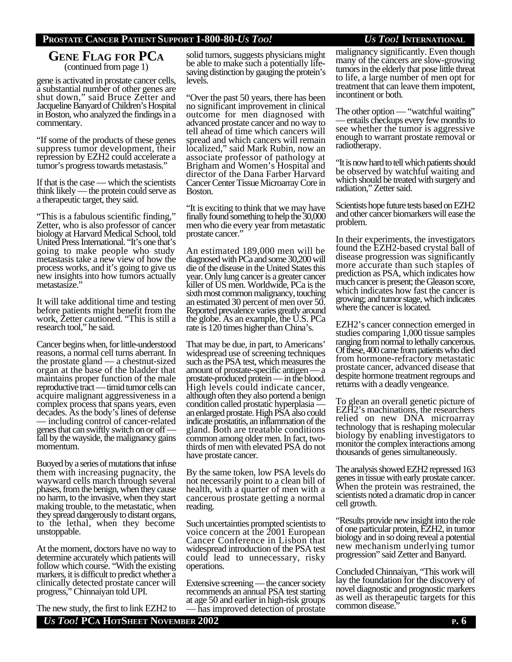### **PROSTATE CANCER PATIENT SUPPORT 1-800-80-***US TOO! US TOO!* **INTERNATIONAL**

### **GENE FLAG FOR PCA** (continued from page 1)

gene is activated in prostate cancer cells, a substantial number of other genes are shut down," said Bruce Zetter and Jacqueline Banyard of Children's Hospital in Boston, who analyzed the findings in a commentary.

"If some of the products of these genes suppress tumor development, their repression by EZH2 could accelerate a tumor's progress towards metastasis."

If that is the case — which the scientists think likely — the protein could serve as a therapeutic target, they said.

"This is a fabulous scientific finding," Zetter, who is also professor of cancer biology at Harvard Medical School, told United Press International. "It's one that's going to make people who study metastasis take a new view of how the process works, and it's going to give us new insights into how tumors actually metastasize."

It will take additional time and testing before patients might benefit from the work, Zetter cautioned. "This is still a research tool," he said.

Cancer begins when, for little-understood reasons, a normal cell turns aberrant. In the prostate gland — a chestnut-sized organ at the base of the bladder that maintains proper function of the male reproductive tract — timid tumor cells can acquire malignant aggressiveness in a complex process that spans years, even decades. As the body's lines of defense — including control of cancer-related genes that can swiftly switch on or off fall by the wayside, the malignancy gains momentum.

Buoyed by a series of mutations that infuse them with increasing pugnacity, the wayward cells march through several phases, from the benign, when they cause no harm, to the invasive, when they start making trouble, to the metastatic, when they spread dangerously to distant organs, to the lethal, when they become unstoppable.

At the moment, doctors have no way to determine accurately which patients will follow which course. "With the existing markers, it is difficult to predict whether a clinically detected prostate cancer will progress," Chinnaiyan told UPI.

The new study, the first to link EZH2 to

solid tumors, suggests physicians might be able to make such a potentially lifesaving distinction by gauging the protein's levels.

"Over the past 50 years, there has been no significant improvement in clinical outcome for men diagnosed with advanced prostate cancer and no way to tell ahead of time which cancers will spread and which cancers will remain localized," said Mark Rubin, now an associate professor of pathology at Brigham and Women's Hospital and director of the Dana Farber Harvard Cancer Center Tissue Microarray Core in Boston.

"It is exciting to think that we may have finally found something to help the 30,000 men who die every year from metastatic prostate cancer."

An estimated 189,000 men will be diagnosed with PCa and some 30,200 will die of the disease in the United States this year. Only lung cancer is a greater cancer killer of US men. Worldwide, PCa is the sixth most common malignancy, touching an estimated 30 percent of men over 50. Reported prevalence varies greatly around the globe. As an example, the U.S. PCa rate is 120 times higher than China's.

That may be due, in part, to Americans' widespread use of screening techniques such as the PSA test, which measures the amount of prostate-specific antigen — a prostate-produced protein — in the blood. High levels could indicate cancer, although often they also portend a benign condition called prostatic hyperplasia an enlarged prostate. High PSA also could indicate prostatitis, an inflammation of the gland. Both are treatable conditions common among older men. In fact, twothirds of men with elevated PSA do not have prostate cancer.

By the same token, low PSA levels do not necessarily point to a clean bill of health, with a quarter of men with a cancerous prostate getting a normal reading.

Such uncertainties prompted scientists to voice concern at the 2001 European Cancer Conference in Lisbon that widespread introduction of the PSA test could lead to unnecessary, risky operations.

Extensive screening — the cancer society recommends an annual PSA test starting at age 50 and earlier in high-risk groups — has improved detection of prostate malignancy significantly. Even though many of the cancers are slow-growing tumors in the elderly that pose little threat to life, a large number of men opt for treatment that can leave them impotent, incontinent or both.

The other option — "watchful waiting" — entails checkups every few months to see whether the tumor is aggressive enough to warrant prostate removal or radiotherapy.

"It is now hard to tell which patients should be observed by watchful waiting and which should be treated with surgery and radiation," Zetter said.

Scientists hope future tests based on EZH2 and other cancer biomarkers will ease the problem.

In their experiments, the investigators found the EZH2-based crystal ball of disease progression was significantly more accurate than such staples of prediction as PSA, which indicates how much cancer is present; the Gleason score, which indicates how fast the cancer is growing; and tumor stage, which indicates where the cancer is located.

EZH2's cancer connection emerged in studies comparing 1,000 tissue samples ranging from normal to lethally cancerous. Of these, 400 came from patients who died from hormone-refractory metastatic prostate cancer, advanced disease that despite hormone treatment regroups and returns with a deadly vengeance.

To glean an overall genetic picture of EZH2's machinations, the researchers relied on new DNA microarray technology that is reshaping molecular biology by enabling investigators to monitor the complex interactions among thousands of genes simultaneously.

The analysis showed EZH2 repressed 163 genes in tissue with early prostate cancer. When the protein was restrained, the scientists noted a dramatic drop in cancer cell growth.

"Results provide new insight into the role of one particular protein, EZH2, in tumor biology and in so doing reveal a potential new mechanism underlying tumor progression" said Zetter and Banyard.

Concluded Chinnaiyan, "This work will lay the foundation for the discovery of novel diagnostic and prognostic markers as well as therapeutic targets for this common disease.

*US TOO!* **PCA HOTSHEET NOVEMBER 2002 P. 6**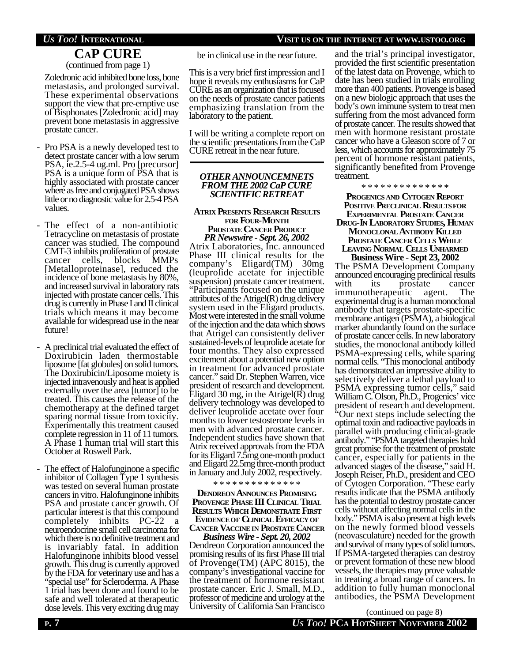#### *US TOO!* **INTERNATIONAL VISIT US ON THE INTERNET AT WWW.USTOO.ORG**

# **CAP CURE**

(continued from page 1)

Zoledronic acid inhibited bone loss, bone metastasis, and prolonged survival. These experimental observations support the view that pre-emptive use of Bisphonates [Zoledronic acid] may prevent bone metastasis in aggressive prostate cancer.

- Pro PSA is a newly developed test to detect prostate cancer with a low serum PSA, ie.2.5-4 ug.ml. Pro [precursor] PSA is a unique form of PSA that is highly associated with prostate cancer where as free and conjugated PSA shows little or no diagnostic value for 2.5-4 PSA values.
- The effect of a non-antibiotic Tetracycline on metastasis of prostate cancer was studied. The compound CMT-3 inhibits proliferation of prostate cancer cells, [Metalloproteinase], reduced the incidence of bone metastasis by 80%, and increased survival in laboratory rats injected with prostate cancer cells. This drug is currently in Phase I and II clinical trials which means it may become available for widespread use in the near future!
- A preclinical trial evaluated the effect of Doxirubicin laden thermostable liposome [fat globules] on solid tumors. The Doxirubicin/Liposome moiety is injected intravenously and heat is applied externally over the area [tumor] to be treated. This causes the release of the chemotherapy at the defined target sparing normal tissue from toxicity. Experimentally this treatment caused complete regression in 11 of 11 tumors. A Phase 1 human trial will start this October at Roswell Park.
- The effect of Halofunginone a specific inhibitor of Collagen Type 1 synthesis was tested on several human prostate cancers in vitro. Halofunginone inhibits PSA and prostate cancer growth. Of particular interest is that this compound completely inhibits PC-22 a neuroendocrine small cell carcinoma for which there is no definitive treatment and is invariably fatal. In addition Halofunginone inhibits blood vessel growth. This drug is currently approved by the FDA for veterinary use and has a "special use" for Scleroderma. A Phase 1 trial has been done and found to be safe and well tolerated at therapeutic dose levels. This very exciting drug may

be in clinical use in the near future.

This is a very brief first impression and I hope it reveals my enthusiasms for CaP CURE as an organization that is focused on the needs of prostate cancer patients emphasizing translation from the laboratory to the patient.

I will be writing a complete report on the scientific presentations from the CaP CURE retreat in the near future.

#### *OTHER ANNOUNCEMNETS FROM THE 2002 CaP CURE SCIENTIFIC RETREAT*

#### **ATRIX PRESENTS RESEARCH RESULTS FOR FOUR-MONTH PROSTATE CANCER PRODUCT**

*PR Newswire - Sept. 26, 2002* Atrix Laboratories, Inc. announced Phase III clinical results for the company's Eligard(TM) 30mg (leuprolide acetate for injectible suspension) prostate cancer treatment. "Participants focused on the unique attributes of the Atrigel(R) drug delivery system used in the Eligard products. Most were interested in the small volume of the injection and the data which shows that Atrigel can consistently deliver sustained-levels of leuprolide acetate for four months. They also expressed excitement about a potential new option in treatment for advanced prostate cancer." said Dr. Stephen Warren, vice president of research and development. Eligard 30 mg, in the Atrigel $(R)$  drug delivery technology was developed to deliver leuprolide acetate over four months to lower testosterone levels in men with advanced prostate cancer. Independent studies have shown that Atrix received approvals from the FDA for its Eligard 7.5mg one-month product and Eligard 22.5mg three-month product in January and July 2002, respectively.

\* \* \* \* \* \* \* \* \* \* \* \* \* \*

#### **DENDREON ANNOUNCES PROMISING PROVENGE PHASE III CLINICAL TRIAL RESULTS WHICH DEMONSTRATE FIRST EVIDENCEOF CLINICAL EFFICACYOF CANCER VACCINE IN PROSTATE CANCER**

*Business Wire - Sept. 20, 2002* Dendreon Corporation announced the promising results of its first Phase III trial of Provenge(TM) (APC 8015), the company's investigational vaccine for the treatment of hormone resistant prostate cancer. Eric J. Small, M.D., professor of medicine and urology at the University of California San Francisco

and the trial's principal investigator, provided the first scientific presentation of the latest data on Provenge, which to date has been studied in trials enrolling more than 400 patients. Provenge is based on a new biologic approach that uses the body's own immune system to treat men suffering from the most advanced form of prostate cancer. The results showed that men with hormone resistant prostate cancer who have a Gleason score of 7 or less, which accounts for approximately 75 percent of hormone resistant patients, significantly benefited from Provenge treatment.

\* \* \* \* \* \* \* \* \* \* \* \* \*

**PROGENICS AND CYTOGEN REPORT POSITIVE PRECLINICAL RESULTSFOR EXPERIMENTAL PROSTATE CANCER DRUG-IN LABORATORY STUDIES, HUMAN MONOCLONAL ANTIBODY KILLED PROSTATE CANCER CELLS WHILE LEAVING NORMAL CELLS UNHARMED**

**Business Wire - Sept 23, 2002** The PSMA Development Company announced encouraging preclinical results with its prostate cancer immunotherapeutic agent. The experimental drug is a human monoclonal antibody that targets prostate-specific membrane antigen (PSMA), a biological marker abundantly found on the surface of prostate cancer cells. In new laboratory studies, the monoclonal antibody killed PSMA-expressing cells, while sparing normal cells. "This monoclonal antibody has demonstrated an impressive ability to selectively deliver a lethal payload to PSMA expressing tumor cells," said William C. Olson, Ph.D., Progenics' vice president of research and development. "Our next steps include selecting the optimal toxin and radioactive payloads in parallel with producing clinical-grade antibody." "PSMA targeted therapies hold great promise for the treatment of prostate cancer, especially for patients in the advanced stages of the disease," said H. Joseph Reiser, Ph.D., president and CEO of Cytogen Corporation. "These early results indicate that the PSMA antibody has the potential to destroy prostate cancer cells without affecting normal cells in the body." PSMA is also present at high levels on the newly formed blood vessels (neovasculature) needed for the growth and survival of many types of solid tumors. If PSMA-targeted therapies can destroy or prevent formation of these new blood vessels, the therapies may prove valuable in treating a broad range of cancers. In addition to fully human monoclonal antibodies, the PSMA Development

**P. 7** *US TOO!* **PCA HOTSHEET NOVEMBER 2002** (continued on page 8)